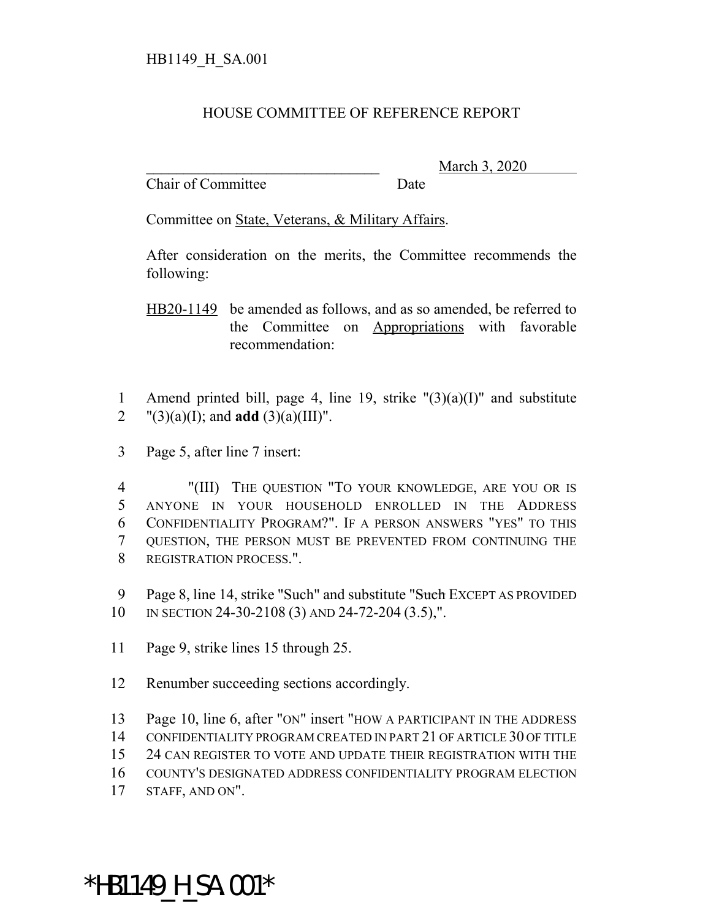## HOUSE COMMITTEE OF REFERENCE REPORT

Chair of Committee Date

\_\_\_\_\_\_\_\_\_\_\_\_\_\_\_\_\_\_\_\_\_\_\_\_\_\_\_\_\_\_\_ March 3, 2020

Committee on State, Veterans, & Military Affairs.

After consideration on the merits, the Committee recommends the following:

HB20-1149 be amended as follows, and as so amended, be referred to the Committee on Appropriations with favorable recommendation:

1 Amend printed bill, page 4, line 19, strike "(3)(a)(I)" and substitute 2  $"(3)(a)(I);$  and **add**  $(3)(a)(III)"$ .

3 Page 5, after line 7 insert:

 "(III) THE QUESTION "TO YOUR KNOWLEDGE, ARE YOU OR IS ANYONE IN YOUR HOUSEHOLD ENROLLED IN THE ADDRESS CONFIDENTIALITY PROGRAM?". IF A PERSON ANSWERS "YES" TO THIS QUESTION, THE PERSON MUST BE PREVENTED FROM CONTINUING THE REGISTRATION PROCESS.".

9 Page 8, line 14, strike "Such" and substitute "Such EXCEPT AS PROVIDED 10 IN SECTION 24-30-2108 (3) AND 24-72-204 (3.5),".

11 Page 9, strike lines 15 through 25.

12 Renumber succeeding sections accordingly.

13 Page 10, line 6, after "ON" insert "HOW A PARTICIPANT IN THE ADDRESS

14 CONFIDENTIALITY PROGRAM CREATED IN PART 21 OF ARTICLE 30 OF TITLE

15 24 CAN REGISTER TO VOTE AND UPDATE THEIR REGISTRATION WITH THE

16 COUNTY'S DESIGNATED ADDRESS CONFIDENTIALITY PROGRAM ELECTION

17 STAFF, AND ON".

\*HB1149 H SA.001\*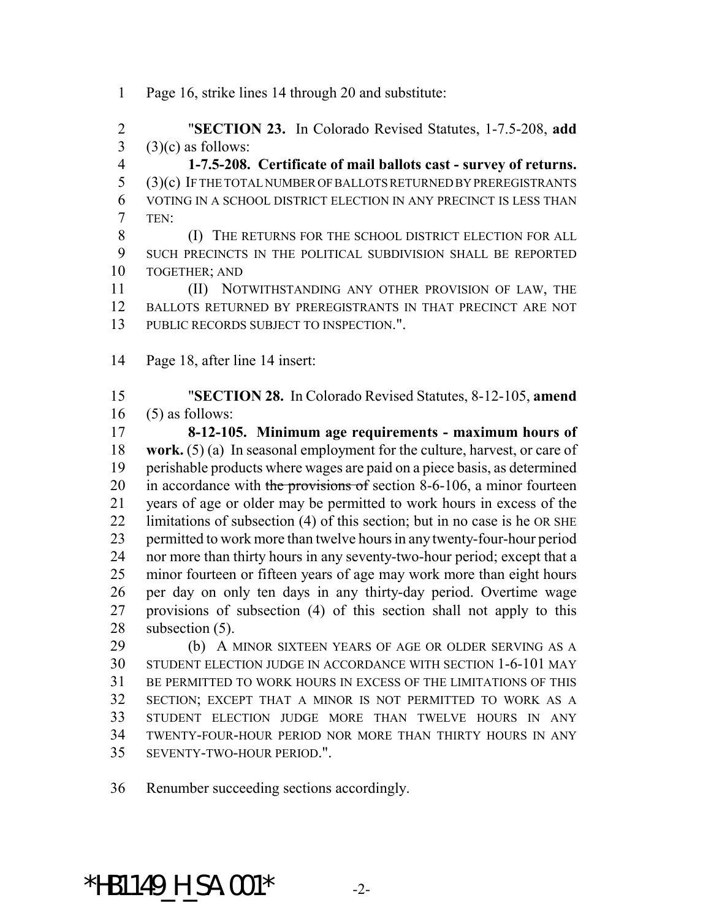Page 16, strike lines 14 through 20 and substitute:

 "**SECTION 23.** In Colorado Revised Statutes, 1-7.5-208, **add** (3)(c) as follows:

 **1-7.5-208. Certificate of mail ballots cast - survey of returns.** (3)(c) IF THE TOTAL NUMBER OF BALLOTS RETURNED BY PREREGISTRANTS VOTING IN A SCHOOL DISTRICT ELECTION IN ANY PRECINCT IS LESS THAN TEN:

**(I)** THE RETURNS FOR THE SCHOOL DISTRICT ELECTION FOR ALL SUCH PRECINCTS IN THE POLITICAL SUBDIVISION SHALL BE REPORTED TOGETHER; AND

 (II) NOTWITHSTANDING ANY OTHER PROVISION OF LAW, THE BALLOTS RETURNED BY PREREGISTRANTS IN THAT PRECINCT ARE NOT PUBLIC RECORDS SUBJECT TO INSPECTION.".

Page 18, after line 14 insert:

 "**SECTION 28.** In Colorado Revised Statutes, 8-12-105, **amend** (5) as follows:

 **8-12-105. Minimum age requirements - maximum hours of work.** (5) (a) In seasonal employment for the culture, harvest, or care of perishable products where wages are paid on a piece basis, as determined 20 in accordance with the provisions of section 8-6-106, a minor fourteen years of age or older may be permitted to work hours in excess of the limitations of subsection (4) of this section; but in no case is he OR SHE permitted to work more than twelve hours in any twenty-four-hour period nor more than thirty hours in any seventy-two-hour period; except that a minor fourteen or fifteen years of age may work more than eight hours per day on only ten days in any thirty-day period. Overtime wage provisions of subsection (4) of this section shall not apply to this 28 subsection (5).

 (b) A MINOR SIXTEEN YEARS OF AGE OR OLDER SERVING AS A STUDENT ELECTION JUDGE IN ACCORDANCE WITH SECTION 1-6-101 MAY BE PERMITTED TO WORK HOURS IN EXCESS OF THE LIMITATIONS OF THIS SECTION; EXCEPT THAT A MINOR IS NOT PERMITTED TO WORK AS A STUDENT ELECTION JUDGE MORE THAN TWELVE HOURS IN ANY TWENTY-FOUR-HOUR PERIOD NOR MORE THAN THIRTY HOURS IN ANY SEVENTY-TWO-HOUR PERIOD.".

Renumber succeeding sections accordingly.

\*HB1149 H SA.001\*  $-2$ -